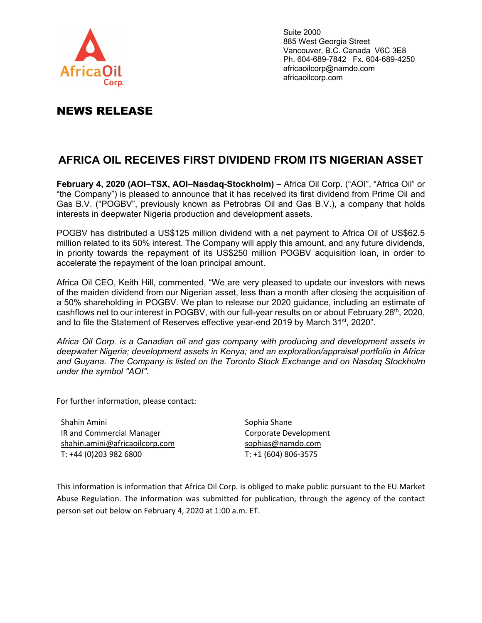

NEWS RELEASE

Suite 2000 885 West Georgia Street Vancouver, B.C. Canada V6C 3E8 Ph. 604-689-7842 Fx. 604-689-4250 africaoilcorp@namdo.com africaoilcorp.com

## **AFRICA OIL RECEIVES FIRST DIVIDEND FROM ITS NIGERIAN ASSET**

**February 4, 2020 (AOI–TSX, AOI–Nasdaq-Stockholm) –** Africa Oil Corp. ("AOI", "Africa Oil" or "the Company") is pleased to announce that it has received its first dividend from Prime Oil and Gas B.V. ("POGBV", previously known as Petrobras Oil and Gas B.V.), a company that holds interests in deepwater Nigeria production and development assets.

POGBV has distributed a US\$125 million dividend with a net payment to Africa Oil of US\$62.5 million related to its 50% interest. The Company will apply this amount, and any future dividends, in priority towards the repayment of its US\$250 million POGBV acquisition loan, in order to accelerate the repayment of the loan principal amount.

Africa Oil CEO, Keith Hill, commented, "We are very pleased to update our investors with news of the maiden dividend from our Nigerian asset, less than a month after closing the acquisition of a 50% shareholding in POGBV. We plan to release our 2020 guidance, including an estimate of cashflows net to our interest in POGBV, with our full-year results on or about February 28<sup>th</sup>, 2020, and to file the Statement of Reserves effective year-end 2019 by March 31<sup>st</sup>, 2020".

*Africa Oil Corp. is a Canadian oil and gas company with producing and development assets in deepwater Nigeria; development assets in Kenya; and an exploration/appraisal portfolio in Africa and Guyana. The Company is listed on the Toronto Stock Exchange and on Nasdaq Stockholm under the symbol "AOI".* 

For further information, please contact:

Shahin Amini IR and Commercial Manager shahin.amini@africaoilcorp.com T: +44 (0)203 982 6800

Sophia Shane Corporate Development sophias@namdo.com T: +1 (604) 806‐3575

This information is information that Africa Oil Corp. is obliged to make public pursuant to the EU Market Abuse Regulation. The information was submitted for publication, through the agency of the contact person set out below on February 4, 2020 at 1:00 a.m. ET.